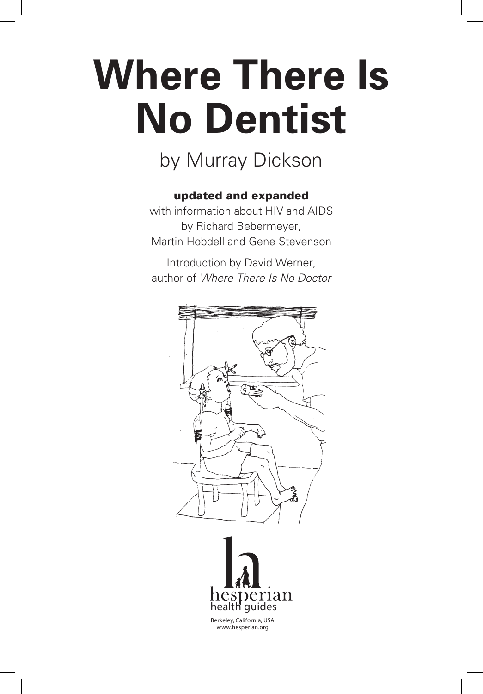# **Where There Is No Dentist**

# by Murray Dickson

### updated and expanded

with information about HIV and AIDS by Richard Bebermeyer, Martin Hobdell and Gene Stevenson

Introduction by David Werner, author of Where There Is No Doctor





Berkeley, California, USA www.hesperian.org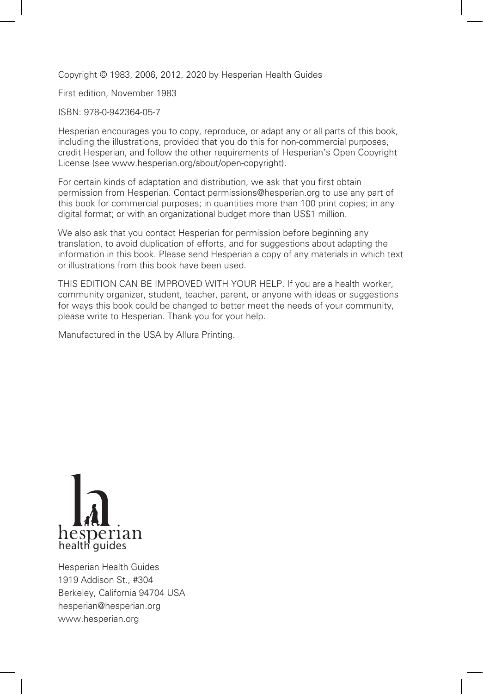Copyright © 1983, 2006, 2012, 2020 by Hesperian Health Guides

First edition, November 1983

ISBN: 978-0-942364-05-7

Hesperian encourages you to copy, reproduce, or adapt any or all parts of this book, including the illustrations, provided that you do this for non-commercial purposes, credit Hesperian, and follow the other requirements of Hesperian's Open Copyright License (see www.hesperian.org/about/open-copyright).

For certain kinds of adaptation and distribution, we ask that you first obtain permission from Hesperian. Contact permissions@hesperian.org to use any part of this book for commercial purposes; in quantities more than 100 print copies; in any digital format; or with an organizational budget more than US\$1 million.

We also ask that you contact Hesperian for permission before beginning any translation, to avoid duplication of efforts, and for suggestions about adapting the information in this book. Please send Hesperian a copy of any materials in which text or illustrations from this book have been used.

THIS EDITION CAN BE IMPROVED WITH YOUR HELP. If you are a health worker, community organizer, student, teacher, parent, or anyone with ideas or suggestions for ways this book could be changed to better meet the needs of your community, please write to Hesperian. Thank you for your help.

Manufactured in the USA by Allura Printing.



Hesperian Health Guides 1919 Addison St., #304 Berkeley, California 94704 USA hesperian@hesperian.org www.hesperian.org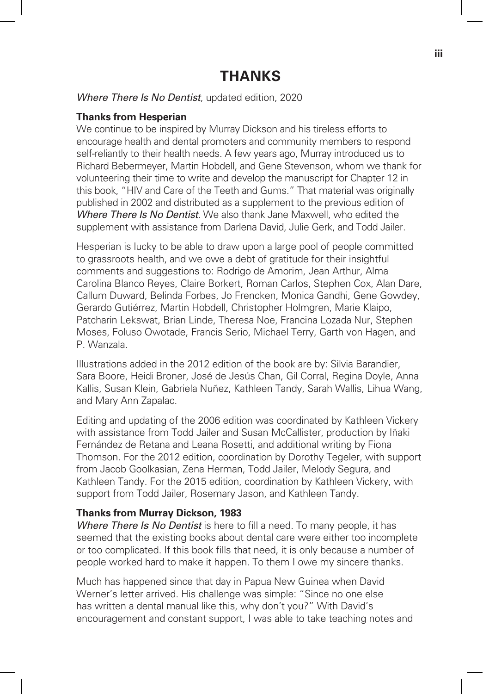### **THANKS**

Where There Is No Dentist, updated edition, 2020

### **Thanks from Hesperian**

We continue to be inspired by Murray Dickson and his tireless efforts to encourage health and dental promoters and community members to respond self-reliantly to their health needs. A few years ago, Murray introduced us to Richard Bebermeyer, Martin Hobdell, and Gene Stevenson, whom we thank for volunteering their time to write and develop the manuscript for Chapter 12 in this book, "HIV and Care of the Teeth and Gums." That material was originally published in 2002 and distributed as a supplement to the previous edition of Where There Is No Dentist. We also thank Jane Maxwell, who edited the supplement with assistance from Darlena David, Julie Gerk, and Todd Jailer.

Hesperian is lucky to be able to draw upon a large pool of people committed to grassroots health, and we owe a debt of gratitude for their insightful comments and suggestions to: Rodrigo de Amorim, Jean Arthur, Alma Carolina Blanco Reyes, Claire Borkert, Roman Carlos, Stephen Cox, Alan Dare, Callum Duward, Belinda Forbes, Jo Frencken, Monica Gandhi, Gene Gowdey, Gerardo Gutiérrez, Martin Hobdell, Christopher Holmgren, Marie Klaipo, Patcharin Lekswat, Brian Linde, Theresa Noe, Francina Lozada Nur, Stephen Moses, Foluso Owotade, Francis Serio, Michael Terry, Garth von Hagen, and P. Wanzala.

Illustrations added in the 2012 edition of the book are by: Silvia Barandier, Sara Boore, Heidi Broner, José de Jesús Chan, Gil Corral, Regina Doyle, Anna Kallis, Susan Klein, Gabriela Nuñez, Kathleen Tandy, Sarah Wallis, Lihua Wang, and Mary Ann Zapalac.

Editing and updating of the 2006 edition was coordinated by Kathleen Vickery with assistance from Todd Jailer and Susan McCallister, production by Iñaki Fernández de Retana and Leana Rosetti, and additional writing by Fiona Thomson. For the 2012 edition, coordination by Dorothy Tegeler, with support from Jacob Goolkasian, Zena Herman, Todd Jailer, Melody Segura, and Kathleen Tandy. For the 2015 edition, coordination by Kathleen Vickery, with support from Todd Jailer, Rosemary Jason, and Kathleen Tandy.

### **Thanks from Murray Dickson, 1983**

Where There Is No Dentist is here to fill a need. To many people, it has seemed that the existing books about dental care were either too incomplete or too complicated. If this book fills that need, it is only because a number of people worked hard to make it happen. To them I owe my sincere thanks.

Much has happened since that day in Papua New Guinea when David Werner's letter arrived. His challenge was simple: "Since no one else has written a dental manual like this, why don't you?" With David's encouragement and constant support, I was able to take teaching notes and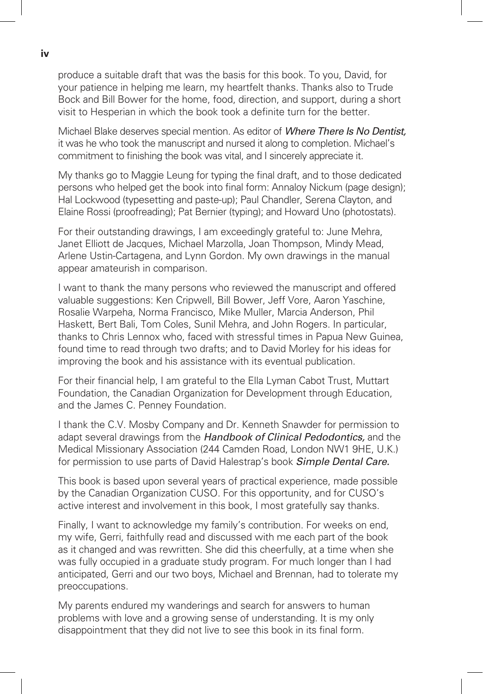produce a suitable draft that was the basis for this book. To you, David, for your patience in helping me learn, my heartfelt thanks. Thanks also to Trude Bock and Bill Bower for the home, food, direction, and support, during a short visit to Hesperian in which the book took a definite turn for the better.

Michael Blake deserves special mention. As editor of Where There Is No Dentist, it was he who took the manuscript and nursed it along to completion. Michael's commitment to finishing the book was vital, and I sincerely appreciate it.

My thanks go to Maggie Leung for typing the final draft, and to those dedicated persons who helped get the book into final form: Annaloy Nickum (page design); Hal Lockwood (typesetting and paste-up); Paul Chandler, Serena Clayton, and Elaine Rossi (proofreading); Pat Bernier (typing); and Howard Uno (photostats).

For their outstanding drawings, I am exceedingly grateful to: June Mehra, Janet Elliott de Jacques, Michael Marzolla, Joan Thompson, Mindy Mead, Arlene Ustin-Cartagena, and Lynn Gordon. My own drawings in the manual appear amateurish in comparison.

I want to thank the many persons who reviewed the manuscript and offered valuable suggestions: Ken Cripwell, Bill Bower, Jeff Vore, Aaron Yaschine, Rosalie Warpeha, Norma Francisco, Mike Muller, Marcia Anderson, Phil Haskett, Bert Bali, Tom Coles, Sunil Mehra, and John Rogers. In particular, thanks to Chris Lennox who, faced with stressful times in Papua New Guinea, found time to read through two drafts; and to David Morley for his ideas for improving the book and his assistance with its eventual publication.

For their financial help, I am grateful to the Ella Lyman Cabot Trust, Muttart Foundation, the Canadian Organization for Development through Education, and the James C. Penney Foundation.

I thank the C.V. Mosby Company and Dr. Kenneth Snawder for permission to adapt several drawings from the Handbook of Clinical Pedodontics, and the Medical Missionary Association (244 Camden Road, London NW1 9HE, U.K.) for permission to use parts of David Halestrap's book **Simple Dental Care.** 

This book is based upon several years of practical experience, made possible by the Canadian Organization CUSO. For this opportunity, and for CUSO's active interest and involvement in this book, I most gratefully say thanks.

Finally, I want to acknowledge my family's contribution. For weeks on end, my wife, Gerri, faithfully read and discussed with me each part of the book as it changed and was rewritten. She did this cheerfully, at a time when she was fully occupied in a graduate study program. For much longer than I had anticipated, Gerri and our two boys, Michael and Brennan, had to tolerate my preoccupations.

My parents endured my wanderings and search for answers to human problems with love and a growing sense of understanding. It is my only disappointment that they did not live to see this book in its final form.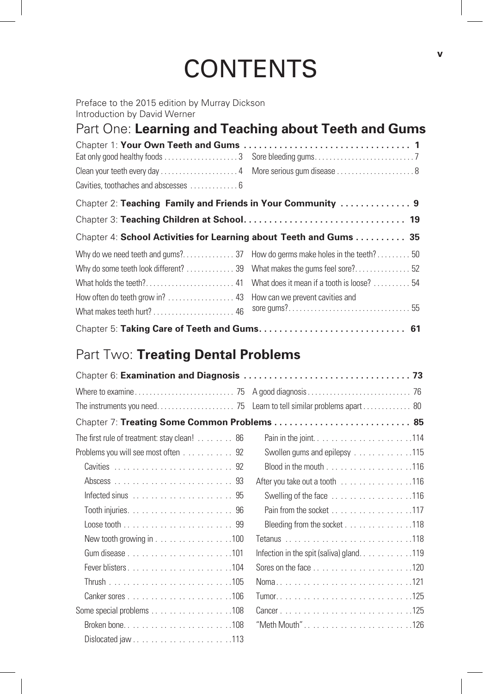# **CONTENTS**

| Preface to the 2015 edition by Murray Dickson<br>Introduction by David Werner             |                                                                                                                                                                                        |
|-------------------------------------------------------------------------------------------|----------------------------------------------------------------------------------------------------------------------------------------------------------------------------------------|
|                                                                                           | Part One: Learning and Teaching about Teeth and Gums                                                                                                                                   |
|                                                                                           | Clean your teeth every day 4 More serious gum disease 8                                                                                                                                |
| Chapter 2: Teaching Family and Friends in Your Community  9                               |                                                                                                                                                                                        |
|                                                                                           |                                                                                                                                                                                        |
|                                                                                           | Chapter 4: School Activities for Learning about Teeth and Gums  35                                                                                                                     |
| How often do teeth grow in? $\ldots \ldots \ldots \ldots$ 43<br>What makes teeth hurt? 46 | Why do we need teeth and gums?37 How do germs make holes in the teeth?50<br>Why do some teeth look different?  39 What makes the gums feel sore? 52<br>How can we prevent cavities and |
|                                                                                           |                                                                                                                                                                                        |
| Part Two: Treating Dental Problems                                                        |                                                                                                                                                                                        |
|                                                                                           |                                                                                                                                                                                        |
|                                                                                           |                                                                                                                                                                                        |
|                                                                                           |                                                                                                                                                                                        |
|                                                                                           |                                                                                                                                                                                        |

| The first rule of treatment: stay clean! $\ldots \ldots$ 86          |                                         |
|----------------------------------------------------------------------|-----------------------------------------|
| Problems you will see most often 92                                  | Swollen gums and epilepsy 115           |
|                                                                      | Blood in the mouth 116                  |
|                                                                      | After you take out a tooth 116          |
| Infected sinus $\ldots \ldots \ldots \ldots \ldots \ldots \ldots 95$ | Swelling of the face 116                |
|                                                                      | Pain from the socket 117                |
|                                                                      | Bleeding from the socket 118            |
|                                                                      |                                         |
|                                                                      | Infection in the spit (saliva) gland119 |
|                                                                      |                                         |
|                                                                      | Noma121                                 |
|                                                                      |                                         |
| Some special problems 108                                            |                                         |
|                                                                      | "Meth Mouth"126                         |
|                                                                      |                                         |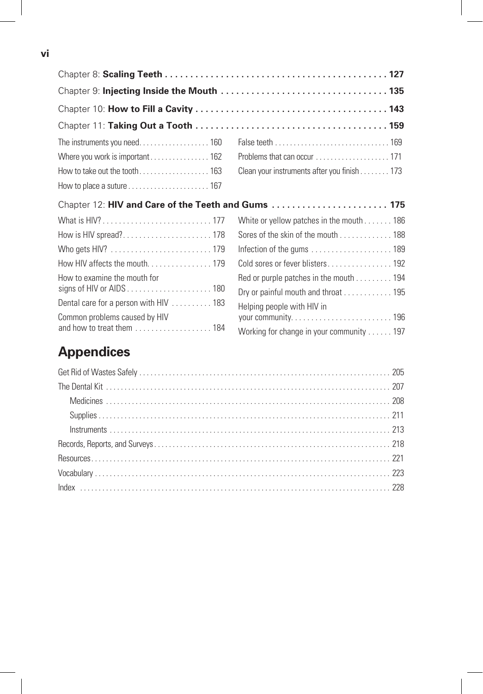| Where you work is important 162                                                                                                                                                                                                   |                                                              |
|-----------------------------------------------------------------------------------------------------------------------------------------------------------------------------------------------------------------------------------|--------------------------------------------------------------|
|                                                                                                                                                                                                                                   | Clean your instruments after you finish 173                  |
|                                                                                                                                                                                                                                   |                                                              |
| Chapter 12: HIV and Care of the Teeth and Gums  175                                                                                                                                                                               |                                                              |
|                                                                                                                                                                                                                                   | White or yellow patches in the mouth 186                     |
|                                                                                                                                                                                                                                   | Sores of the skin of the mouth 188                           |
|                                                                                                                                                                                                                                   | Infection of the gums $\dots\dots\dots\dots\dots\dots$ . 189 |
| How HIV affects the mouth 179                                                                                                                                                                                                     | Cold sores or fever blisters 192                             |
| $\mathbf{r}$ , and a set of the set of the set of the set of the set of the set of the set of the set of the set of the set of the set of the set of the set of the set of the set of the set of the set of the set of the set of |                                                              |

| How to examine the mouth for                                   | Red or pu |
|----------------------------------------------------------------|-----------|
| signs of HIV or AIDS $\dots\dots\dots\dots\dots\dots\dots$ 180 | Dry or pa |
| Dental care for a person with HIV $\ldots \ldots \ldots$ 183   | Helping p |
| Common problems caused by HIV                                  | your com  |
| and how to treat them $\ldots \ldots \ldots \ldots \ldots 184$ | Working   |

| 77 | White or yellow patches in the mouth $\ldots \ldots$ 186 |
|----|----------------------------------------------------------|
| 78 | Sores of the skin of the mouth 188                       |
| 79 | Infection of the gums  189                               |
| 79 |                                                          |
|    | Red or purple patches in the mouth 194                   |
| 80 | Dry or painful mouth and throat 195                      |
| 83 | Helping people with HIV in                               |
| 84 | Working for change in your community $\ldots$ . 197      |
|    |                                                          |

### **Appendices**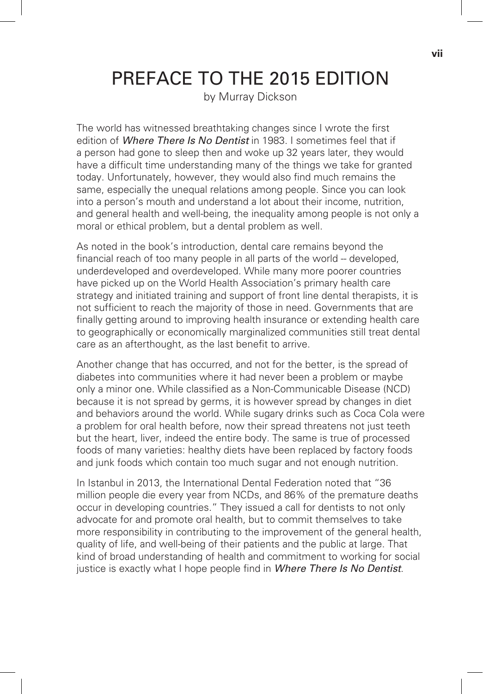## PREFACE TO THE 2015 EDITION

by Murray Dickson

The world has witnessed breathtaking changes since I wrote the first edition of *Where There Is No Dentist* in 1983. I sometimes feel that if a person had gone to sleep then and woke up 32 years later, they would have a difficult time understanding many of the things we take for granted today. Unfortunately, however, they would also find much remains the same, especially the unequal relations among people. Since you can look into a person's mouth and understand a lot about their income, nutrition, and general health and well-being, the inequality among people is not only a moral or ethical problem, but a dental problem as well.

As noted in the book's introduction, dental care remains beyond the financial reach of too many people in all parts of the world -- developed, underdeveloped and overdeveloped. While many more poorer countries have picked up on the World Health Association's primary health care strategy and initiated training and support of front line dental therapists, it is not sufficient to reach the majority of those in need. Governments that are finally getting around to improving health insurance or extending health care to geographically or economically marginalized communities still treat dental care as an afterthought, as the last benefit to arrive.

Another change that has occurred, and not for the better, is the spread of diabetes into communities where it had never been a problem or maybe only a minor one. While classified as a Non-Communicable Disease (NCD) because it is not spread by germs, it is however spread by changes in diet and behaviors around the world. While sugary drinks such as Coca Cola were a problem for oral health before, now their spread threatens not just teeth but the heart, liver, indeed the entire body. The same is true of processed foods of many varieties: healthy diets have been replaced by factory foods and junk foods which contain too much sugar and not enough nutrition.

In Istanbul in 2013, the International Dental Federation noted that "36 million people die every year from NCDs, and 86% of the premature deaths occur in developing countries." They issued a call for dentists to not only advocate for and promote oral health, but to commit themselves to take more responsibility in contributing to the improvement of the general health, quality of life, and well-being of their patients and the public at large. That kind of broad understanding of health and commitment to working for social justice is exactly what I hope people find in Where There Is No Dentist.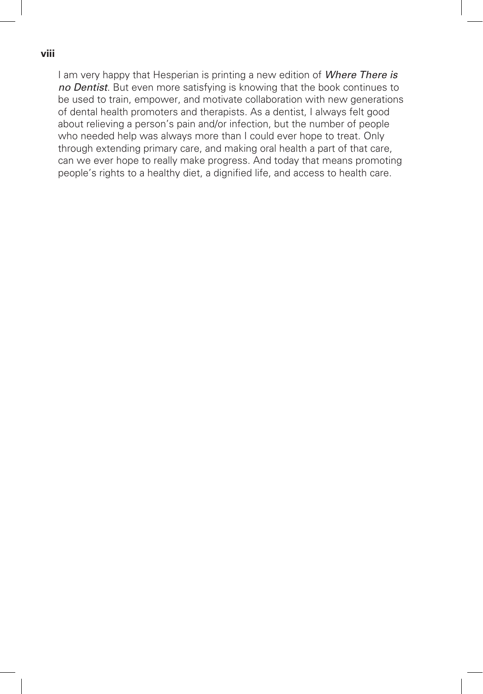#### **viii**

I am very happy that Hesperian is printing a new edition of Where There is no Dentist. But even more satisfying is knowing that the book continues to be used to train, empower, and motivate collaboration with new generations of dental health promoters and therapists. As a dentist, I always felt good about relieving a person's pain and/or infection, but the number of people who needed help was always more than I could ever hope to treat. Only through extending primary care, and making oral health a part of that care, can we ever hope to really make progress. And today that means promoting people's rights to a healthy diet, a dignified life, and access to health care.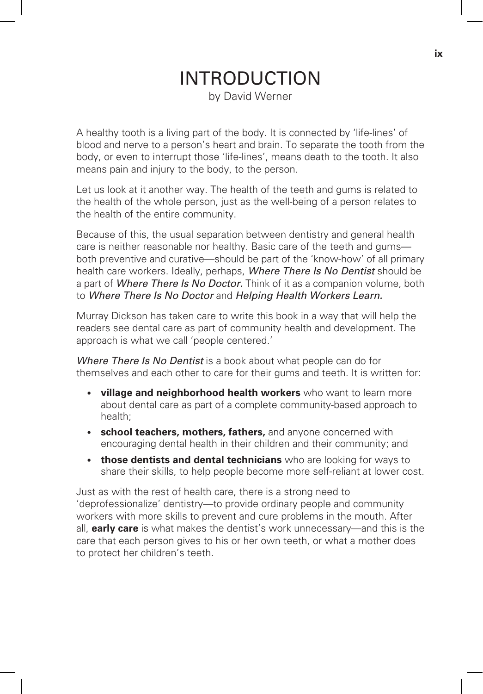### INTRODUCTION by David Werner

A healthy tooth is a living part of the body. It is connected by 'life-lines' of blood and nerve to a person's heart and brain. To separate the tooth from the body, or even to interrupt those 'life-lines', means death to the tooth. It also means pain and injury to the body, to the person.

Let us look at it another way. The health of the teeth and gums is related to the health of the whole person, just as the well-being of a person relates to the health of the entire community.

Because of this, the usual separation between dentistry and general health care is neither reasonable nor healthy. Basic care of the teeth and gums both preventive and curative—should be part of the 'know-how' of all primary health care workers. Ideally, perhaps, Where There Is No Dentist should be a part of Where There Is No Doctor. Think of it as a companion volume, both to Where There Is No Doctor and Helping Health Workers Learn.

Murray Dickson has taken care to write this book in a way that will help the readers see dental care as part of community health and development. The approach is what we call 'people centered.'

Where There Is No Dentist is a book about what people can do for themselves and each other to care for their gums and teeth. It is written for:

- **village and neighborhood health workers** who want to learn more about dental care as part of a complete community-based approach to health;
- **school teachers, mothers, fathers,** and anyone concerned with encouraging dental health in their children and their community; and
- **those dentists and dental technicians** who are looking for ways to share their skills, to help people become more self-reliant at lower cost.

Just as with the rest of health care, there is a strong need to 'deprofessionalize' dentistry—to provide ordinary people and community workers with more skills to prevent and cure problems in the mouth. After all, **early care** is what makes the dentist's work unnecessary—and this is the care that each person gives to his or her own teeth, or what a mother does to protect her children's teeth.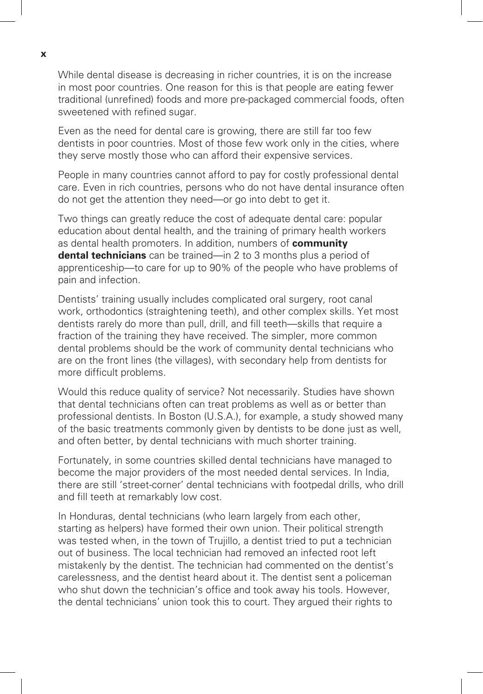While dental disease is decreasing in richer countries, it is on the increase in most poor countries. One reason for this is that people are eating fewer traditional (unrefined) foods and more pre-packaged commercial foods, often sweetened with refined sugar.

Even as the need for dental care is growing, there are still far too few dentists in poor countries. Most of those few work only in the cities, where they serve mostly those who can afford their expensive services.

People in many countries cannot afford to pay for costly professional dental care. Even in rich countries, persons who do not have dental insurance often do not get the attention they need—or go into debt to get it.

Two things can greatly reduce the cost of adequate dental care: popular education about dental health, and the training of primary health workers as dental health promoters. In addition, numbers of **community dental technicians** can be trained—in 2 to 3 months plus a period of apprenticeship—to care for up to 90% of the people who have problems of pain and infection.

Dentists' training usually includes complicated oral surgery, root canal work, orthodontics (straightening teeth), and other complex skills. Yet most dentists rarely do more than pull, drill, and fill teeth—skills that require a fraction of the training they have received. The simpler, more common dental problems should be the work of community dental technicians who are on the front lines (the villages), with secondary help from dentists for more difficult problems.

Would this reduce quality of service? Not necessarily. Studies have shown that dental technicians often can treat problems as well as or better than professional dentists. In Boston (U.S.A.), for example, a study showed many of the basic treatments commonly given by dentists to be done just as well, and often better, by dental technicians with much shorter training.

Fortunately, in some countries skilled dental technicians have managed to become the major providers of the most needed dental services. In India, there are still 'street-corner' dental technicians with footpedal drills, who drill and fill teeth at remarkably low cost.

In Honduras, dental technicians (who learn largely from each other, starting as helpers) have formed their own union. Their political strength was tested when, in the town of Trujillo, a dentist tried to put a technician out of business. The local technician had removed an infected root left mistakenly by the dentist. The technician had commented on the dentist's carelessness, and the dentist heard about it. The dentist sent a policeman who shut down the technician's office and took away his tools. However, the dental technicians' union took this to court. They argued their rights to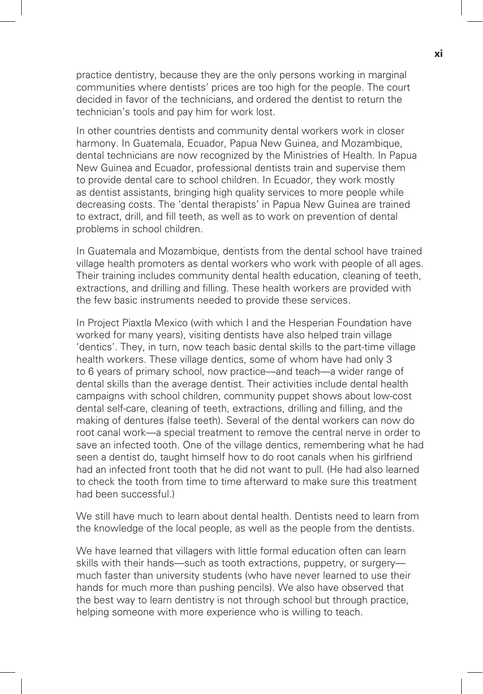practice dentistry, because they are the only persons working in marginal communities where dentists' prices are too high for the people. The court decided in favor of the technicians, and ordered the dentist to return the technician's tools and pay him for work lost.

In other countries dentists and community dental workers work in closer harmony. In Guatemala, Ecuador, Papua New Guinea, and Mozambique, dental technicians are now recognized by the Ministries of Health. In Papua New Guinea and Ecuador, professional dentists train and supervise them to provide dental care to school children. In Ecuador, they work mostly as dentist assistants, bringing high quality services to more people while decreasing costs. The 'dental therapists' in Papua New Guinea are trained to extract, drill, and fill teeth, as well as to work on prevention of dental problems in school children.

In Guatemala and Mozambique, dentists from the dental school have trained village health promoters as dental workers who work with people of all ages. Their training includes community dental health education, cleaning of teeth, extractions, and drilling and filling. These health workers are provided with the few basic instruments needed to provide these services.

In Project Piaxtla Mexico (with which I and the Hesperian Foundation have worked for many years), visiting dentists have also helped train village 'dentics'. They, in turn, now teach basic dental skills to the part-time village health workers. These village dentics, some of whom have had only 3 to 6 years of primary school, now practice—and teach—a wider range of dental skills than the average dentist. Their activities include dental health campaigns with school children, community puppet shows about low-cost dental self-care, cleaning of teeth, extractions, drilling and filling, and the making of dentures (false teeth). Several of the dental workers can now do root canal work—a special treatment to remove the central nerve in order to save an infected tooth. One of the village dentics, remembering what he had seen a dentist do, taught himself how to do root canals when his girlfriend had an infected front tooth that he did not want to pull. (He had also learned to check the tooth from time to time afterward to make sure this treatment had been successful.)

We still have much to learn about dental health. Dentists need to learn from the knowledge of the local people, as well as the people from the dentists.

We have learned that villagers with little formal education often can learn skills with their hands—such as tooth extractions, puppetry, or surgery much faster than university students (who have never learned to use their hands for much more than pushing pencils). We also have observed that the best way to learn dentistry is not through school but through practice, helping someone with more experience who is willing to teach.